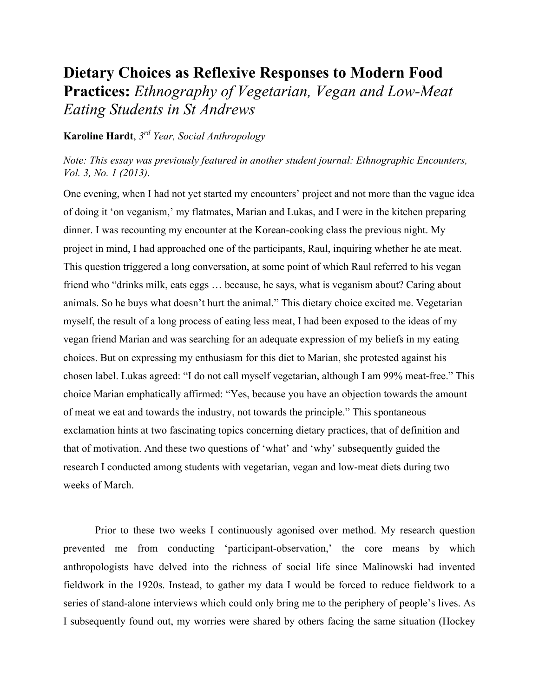## **Dietary Choices as Reflexive Responses to Modern Food Practices:** *Ethnography of Vegetarian, Vegan and Low-Meat Eating Students in St Andrews*

## **Karoline Hardt**, *3rd Year, Social Anthropology*

*Note: This essay was previously featured in another student journal: Ethnographic Encounters, Vol. 3, No. 1 (2013).* 

 $\mathcal{L}_\mathcal{L} = \{ \mathcal{L}_\mathcal{L} = \{ \mathcal{L}_\mathcal{L} = \{ \mathcal{L}_\mathcal{L} = \{ \mathcal{L}_\mathcal{L} = \{ \mathcal{L}_\mathcal{L} = \{ \mathcal{L}_\mathcal{L} = \{ \mathcal{L}_\mathcal{L} = \{ \mathcal{L}_\mathcal{L} = \{ \mathcal{L}_\mathcal{L} = \{ \mathcal{L}_\mathcal{L} = \{ \mathcal{L}_\mathcal{L} = \{ \mathcal{L}_\mathcal{L} = \{ \mathcal{L}_\mathcal{L} = \{ \mathcal{L}_\mathcal{$ 

One evening, when I had not yet started my encounters' project and not more than the vague idea of doing it 'on veganism,' my flatmates, Marian and Lukas, and I were in the kitchen preparing dinner. I was recounting my encounter at the Korean-cooking class the previous night. My project in mind, I had approached one of the participants, Raul, inquiring whether he ate meat. This question triggered a long conversation, at some point of which Raul referred to his vegan friend who "drinks milk, eats eggs … because, he says, what is veganism about? Caring about animals. So he buys what doesn't hurt the animal." This dietary choice excited me. Vegetarian myself, the result of a long process of eating less meat, I had been exposed to the ideas of my vegan friend Marian and was searching for an adequate expression of my beliefs in my eating choices. But on expressing my enthusiasm for this diet to Marian, she protested against his chosen label. Lukas agreed: "I do not call myself vegetarian, although I am 99% meat-free." This choice Marian emphatically affirmed: "Yes, because you have an objection towards the amount of meat we eat and towards the industry, not towards the principle." This spontaneous exclamation hints at two fascinating topics concerning dietary practices, that of definition and that of motivation. And these two questions of 'what' and 'why' subsequently guided the research I conducted among students with vegetarian, vegan and low-meat diets during two weeks of March.

Prior to these two weeks I continuously agonised over method. My research question prevented me from conducting 'participant-observation,' the core means by which anthropologists have delved into the richness of social life since Malinowski had invented fieldwork in the 1920s. Instead, to gather my data I would be forced to reduce fieldwork to a series of stand-alone interviews which could only bring me to the periphery of people's lives. As I subsequently found out, my worries were shared by others facing the same situation (Hockey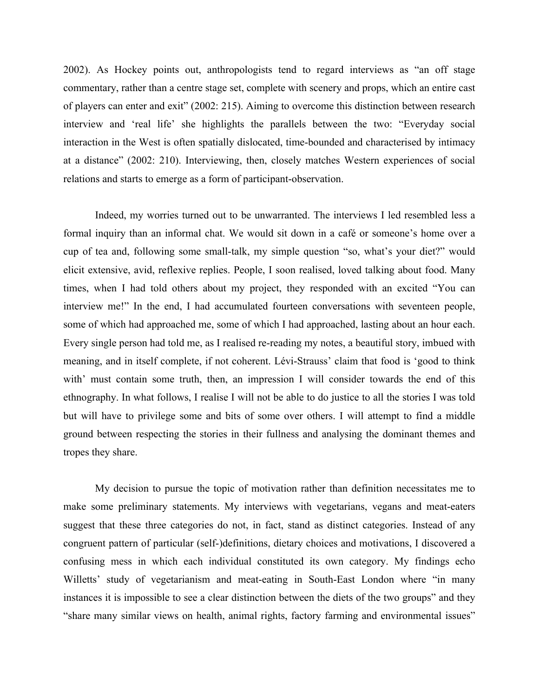2002). As Hockey points out, anthropologists tend to regard interviews as "an off stage commentary, rather than a centre stage set, complete with scenery and props, which an entire cast of players can enter and exit" (2002: 215). Aiming to overcome this distinction between research interview and 'real life' she highlights the parallels between the two: "Everyday social interaction in the West is often spatially dislocated, time-bounded and characterised by intimacy at a distance" (2002: 210). Interviewing, then, closely matches Western experiences of social relations and starts to emerge as a form of participant-observation.

Indeed, my worries turned out to be unwarranted. The interviews I led resembled less a formal inquiry than an informal chat. We would sit down in a café or someone's home over a cup of tea and, following some small-talk, my simple question "so, what's your diet?" would elicit extensive, avid, reflexive replies. People, I soon realised, loved talking about food. Many times, when I had told others about my project, they responded with an excited "You can interview me!" In the end, I had accumulated fourteen conversations with seventeen people, some of which had approached me, some of which I had approached, lasting about an hour each. Every single person had told me, as I realised re-reading my notes, a beautiful story, imbued with meaning, and in itself complete, if not coherent. Lévi-Strauss' claim that food is 'good to think with' must contain some truth, then, an impression I will consider towards the end of this ethnography. In what follows, I realise I will not be able to do justice to all the stories I was told but will have to privilege some and bits of some over others. I will attempt to find a middle ground between respecting the stories in their fullness and analysing the dominant themes and tropes they share.

My decision to pursue the topic of motivation rather than definition necessitates me to make some preliminary statements. My interviews with vegetarians, vegans and meat-eaters suggest that these three categories do not, in fact, stand as distinct categories. Instead of any congruent pattern of particular (self-)definitions, dietary choices and motivations, I discovered a confusing mess in which each individual constituted its own category. My findings echo Willetts' study of vegetarianism and meat-eating in South-East London where "in many instances it is impossible to see a clear distinction between the diets of the two groups" and they "share many similar views on health, animal rights, factory farming and environmental issues"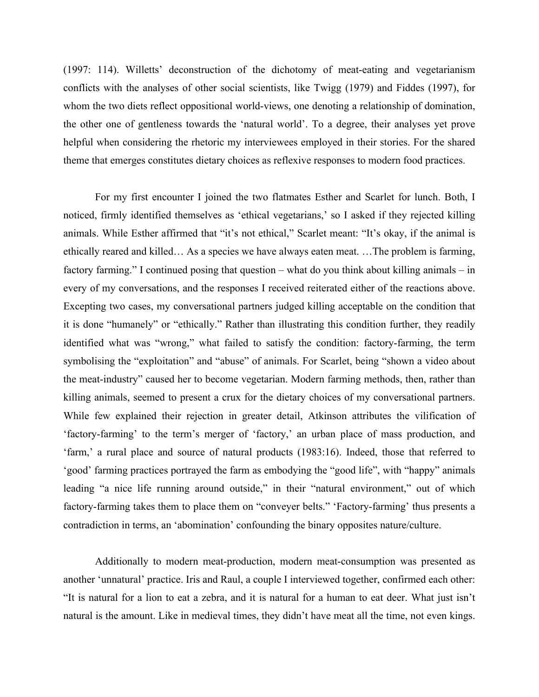(1997: 114). Willetts' deconstruction of the dichotomy of meat-eating and vegetarianism conflicts with the analyses of other social scientists, like Twigg (1979) and Fiddes (1997), for whom the two diets reflect oppositional world-views, one denoting a relationship of domination, the other one of gentleness towards the 'natural world'. To a degree, their analyses yet prove helpful when considering the rhetoric my interviewees employed in their stories. For the shared theme that emerges constitutes dietary choices as reflexive responses to modern food practices.

For my first encounter I joined the two flatmates Esther and Scarlet for lunch. Both, I noticed, firmly identified themselves as 'ethical vegetarians,' so I asked if they rejected killing animals. While Esther affirmed that "it's not ethical," Scarlet meant: "It's okay, if the animal is ethically reared and killed… As a species we have always eaten meat. …The problem is farming, factory farming." I continued posing that question – what do you think about killing animals – in every of my conversations, and the responses I received reiterated either of the reactions above. Excepting two cases, my conversational partners judged killing acceptable on the condition that it is done "humanely" or "ethically." Rather than illustrating this condition further, they readily identified what was "wrong," what failed to satisfy the condition: factory-farming, the term symbolising the "exploitation" and "abuse" of animals. For Scarlet, being "shown a video about the meat-industry" caused her to become vegetarian. Modern farming methods, then, rather than killing animals, seemed to present a crux for the dietary choices of my conversational partners. While few explained their rejection in greater detail, Atkinson attributes the vilification of 'factory-farming' to the term's merger of 'factory,' an urban place of mass production, and 'farm,' a rural place and source of natural products (1983:16). Indeed, those that referred to 'good' farming practices portrayed the farm as embodying the "good life", with "happy" animals leading "a nice life running around outside," in their "natural environment," out of which factory-farming takes them to place them on "conveyer belts." 'Factory-farming' thus presents a contradiction in terms, an 'abomination' confounding the binary opposites nature/culture.

Additionally to modern meat-production, modern meat-consumption was presented as another 'unnatural' practice. Iris and Raul, a couple I interviewed together, confirmed each other: "It is natural for a lion to eat a zebra, and it is natural for a human to eat deer. What just isn't natural is the amount. Like in medieval times, they didn't have meat all the time, not even kings.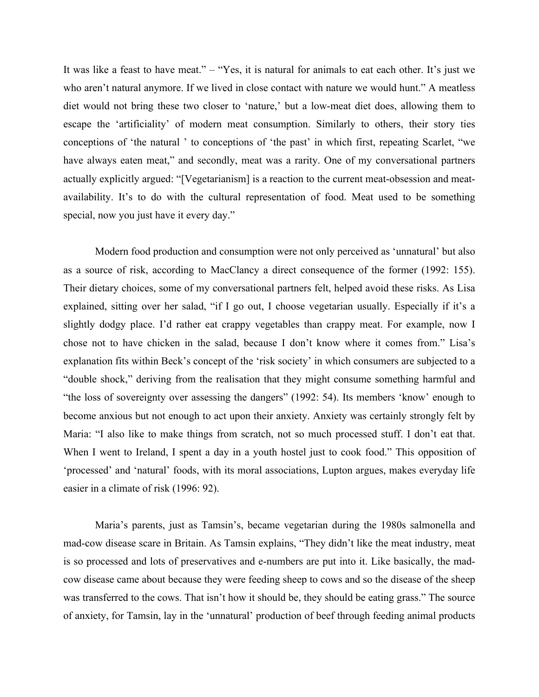It was like a feast to have meat." – "Yes, it is natural for animals to eat each other. It's just we who aren't natural anymore. If we lived in close contact with nature we would hunt." A meatless diet would not bring these two closer to 'nature,' but a low-meat diet does, allowing them to escape the 'artificiality' of modern meat consumption. Similarly to others, their story ties conceptions of 'the natural ' to conceptions of 'the past' in which first, repeating Scarlet, "we have always eaten meat," and secondly, meat was a rarity. One of my conversational partners actually explicitly argued: "[Vegetarianism] is a reaction to the current meat-obsession and meatavailability. It's to do with the cultural representation of food. Meat used to be something special, now you just have it every day."

Modern food production and consumption were not only perceived as 'unnatural' but also as a source of risk, according to MacClancy a direct consequence of the former (1992: 155). Their dietary choices, some of my conversational partners felt, helped avoid these risks. As Lisa explained, sitting over her salad, "if I go out, I choose vegetarian usually. Especially if it's a slightly dodgy place. I'd rather eat crappy vegetables than crappy meat. For example, now I chose not to have chicken in the salad, because I don't know where it comes from." Lisa's explanation fits within Beck's concept of the 'risk society' in which consumers are subjected to a "double shock," deriving from the realisation that they might consume something harmful and "the loss of sovereignty over assessing the dangers" (1992: 54). Its members 'know' enough to become anxious but not enough to act upon their anxiety. Anxiety was certainly strongly felt by Maria: "I also like to make things from scratch, not so much processed stuff. I don't eat that. When I went to Ireland, I spent a day in a youth hostel just to cook food." This opposition of 'processed' and 'natural' foods, with its moral associations, Lupton argues, makes everyday life easier in a climate of risk (1996: 92).

Maria's parents, just as Tamsin's, became vegetarian during the 1980s salmonella and mad-cow disease scare in Britain. As Tamsin explains, "They didn't like the meat industry, meat is so processed and lots of preservatives and e-numbers are put into it. Like basically, the madcow disease came about because they were feeding sheep to cows and so the disease of the sheep was transferred to the cows. That isn't how it should be, they should be eating grass." The source of anxiety, for Tamsin, lay in the 'unnatural' production of beef through feeding animal products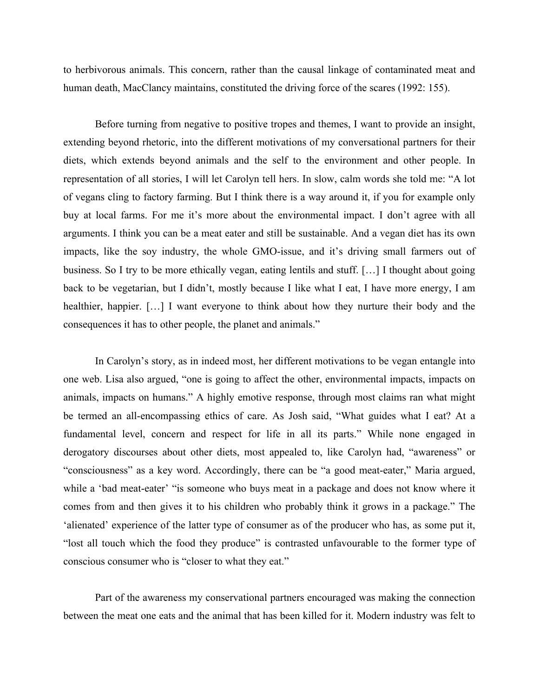to herbivorous animals. This concern, rather than the causal linkage of contaminated meat and human death, MacClancy maintains, constituted the driving force of the scares (1992: 155).

Before turning from negative to positive tropes and themes, I want to provide an insight, extending beyond rhetoric, into the different motivations of my conversational partners for their diets, which extends beyond animals and the self to the environment and other people. In representation of all stories, I will let Carolyn tell hers. In slow, calm words she told me: "A lot of vegans cling to factory farming. But I think there is a way around it, if you for example only buy at local farms. For me it's more about the environmental impact. I don't agree with all arguments. I think you can be a meat eater and still be sustainable. And a vegan diet has its own impacts, like the soy industry, the whole GMO-issue, and it's driving small farmers out of business. So I try to be more ethically vegan, eating lentils and stuff. […] I thought about going back to be vegetarian, but I didn't, mostly because I like what I eat, I have more energy, I am healthier, happier. […] I want everyone to think about how they nurture their body and the consequences it has to other people, the planet and animals."

In Carolyn's story, as in indeed most, her different motivations to be vegan entangle into one web. Lisa also argued, "one is going to affect the other, environmental impacts, impacts on animals, impacts on humans." A highly emotive response, through most claims ran what might be termed an all-encompassing ethics of care. As Josh said, "What guides what I eat? At a fundamental level, concern and respect for life in all its parts." While none engaged in derogatory discourses about other diets, most appealed to, like Carolyn had, "awareness" or "consciousness" as a key word. Accordingly, there can be "a good meat-eater," Maria argued, while a 'bad meat-eater' "is someone who buys meat in a package and does not know where it comes from and then gives it to his children who probably think it grows in a package." The 'alienated' experience of the latter type of consumer as of the producer who has, as some put it, "lost all touch which the food they produce" is contrasted unfavourable to the former type of conscious consumer who is "closer to what they eat."

Part of the awareness my conservational partners encouraged was making the connection between the meat one eats and the animal that has been killed for it. Modern industry was felt to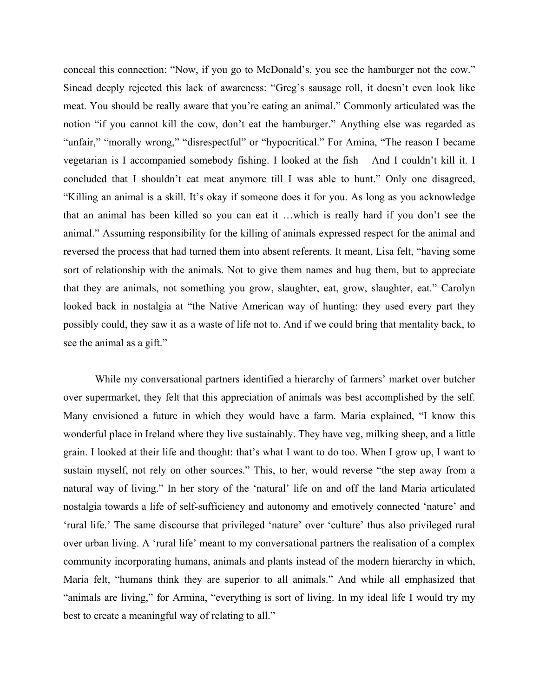conceal this connection: "Now, if you go to McDonald's, you see the hamburger not the cow." Sinead deeply rejected this lack of awareness: "Greg's sausage roll, it doesn't even look like meat. You should be really aware that you're eating an animal." Commonly articulated was the notion "if you cannot kill the cow, don't eat the hamburger." Anything else was regarded as "unfair," "morally wrong," "disrespectful" or "hypocritical." For Amina, "The reason I became vegetarian is I accompanied somebody fishing. I looked at the fish – And I couldn't kill it. I concluded that I shouldn't eat meat anymore till I was able to hunt." Only one disagreed, "Killing an animal is a skill. It's okay if someone does it for you. As long as you acknowledge that an animal has been killed so you can eat it …which is really hard if you don't see the animal." Assuming responsibility for the killing of animals expressed respect for the animal and reversed the process that had turned them into absent referents. It meant, Lisa felt, "having some sort of relationship with the animals. Not to give them names and hug them, but to appreciate that they are animals, not something you grow, slaughter, eat, grow, slaughter, eat." Carolyn looked back in nostalgia at "the Native American way of hunting: they used every part they possibly could, they saw it as a waste of life not to. And if we could bring that mentality back, to see the animal as a gift."

While my conversational partners identified a hierarchy of farmers' market over butcher over supermarket, they felt that this appreciation of animals was best accomplished by the self. Many envisioned a future in which they would have a farm. Maria explained, "I know this wonderful place in Ireland where they live sustainably. They have veg, milking sheep, and a little grain. I looked at their life and thought: that's what I want to do too. When I grow up, I want to sustain myself, not rely on other sources." This, to her, would reverse "the step away from a natural way of living." In her story of the 'natural' life on and off the land Maria articulated nostalgia towards a life of self-sufficiency and autonomy and emotively connected 'nature' and 'rural life.' The same discourse that privileged 'nature' over 'culture' thus also privileged rural over urban living. A 'rural life' meant to my conversational partners the realisation of a complex community incorporating humans, animals and plants instead of the modern hierarchy in which, Maria felt, "humans think they are superior to all animals." And while all emphasized that "animals are living," for Armina, "everything is sort of living. In my ideal life I would try my best to create a meaningful way of relating to all."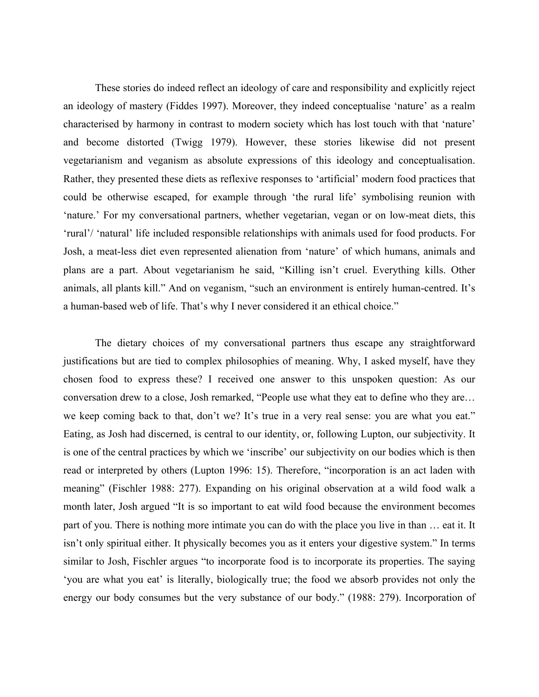These stories do indeed reflect an ideology of care and responsibility and explicitly reject an ideology of mastery (Fiddes 1997). Moreover, they indeed conceptualise 'nature' as a realm characterised by harmony in contrast to modern society which has lost touch with that 'nature' and become distorted (Twigg 1979). However, these stories likewise did not present vegetarianism and veganism as absolute expressions of this ideology and conceptualisation. Rather, they presented these diets as reflexive responses to 'artificial' modern food practices that could be otherwise escaped, for example through 'the rural life' symbolising reunion with 'nature.' For my conversational partners, whether vegetarian, vegan or on low-meat diets, this 'rural'/ 'natural' life included responsible relationships with animals used for food products. For Josh, a meat-less diet even represented alienation from 'nature' of which humans, animals and plans are a part. About vegetarianism he said, "Killing isn't cruel. Everything kills. Other animals, all plants kill." And on veganism, "such an environment is entirely human-centred. It's a human-based web of life. That's why I never considered it an ethical choice."

The dietary choices of my conversational partners thus escape any straightforward justifications but are tied to complex philosophies of meaning. Why, I asked myself, have they chosen food to express these? I received one answer to this unspoken question: As our conversation drew to a close, Josh remarked, "People use what they eat to define who they are… we keep coming back to that, don't we? It's true in a very real sense: you are what you eat." Eating, as Josh had discerned, is central to our identity, or, following Lupton, our subjectivity. It is one of the central practices by which we 'inscribe' our subjectivity on our bodies which is then read or interpreted by others (Lupton 1996: 15). Therefore, "incorporation is an act laden with meaning" (Fischler 1988: 277). Expanding on his original observation at a wild food walk a month later, Josh argued "It is so important to eat wild food because the environment becomes part of you. There is nothing more intimate you can do with the place you live in than … eat it. It isn't only spiritual either. It physically becomes you as it enters your digestive system." In terms similar to Josh, Fischler argues "to incorporate food is to incorporate its properties. The saying 'you are what you eat' is literally, biologically true; the food we absorb provides not only the energy our body consumes but the very substance of our body." (1988: 279). Incorporation of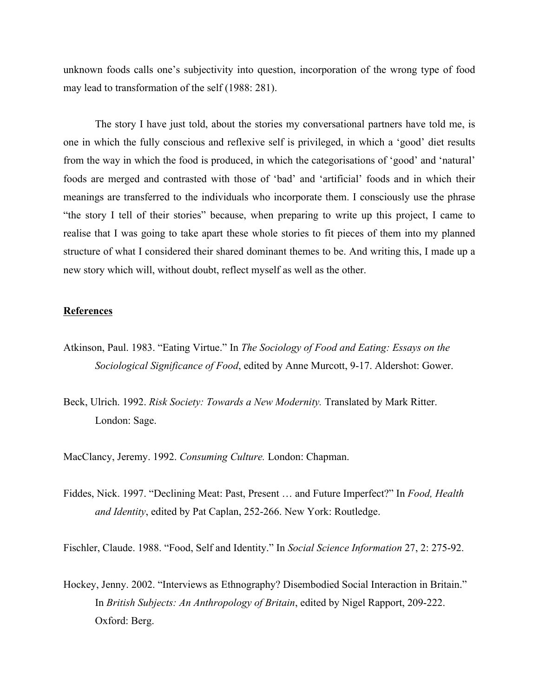unknown foods calls one's subjectivity into question, incorporation of the wrong type of food may lead to transformation of the self (1988: 281).

The story I have just told, about the stories my conversational partners have told me, is one in which the fully conscious and reflexive self is privileged, in which a 'good' diet results from the way in which the food is produced, in which the categorisations of 'good' and 'natural' foods are merged and contrasted with those of 'bad' and 'artificial' foods and in which their meanings are transferred to the individuals who incorporate them. I consciously use the phrase "the story I tell of their stories" because, when preparing to write up this project, I came to realise that I was going to take apart these whole stories to fit pieces of them into my planned structure of what I considered their shared dominant themes to be. And writing this, I made up a new story which will, without doubt, reflect myself as well as the other.

## **References**

- Atkinson, Paul. 1983. "Eating Virtue." In *The Sociology of Food and Eating: Essays on the Sociological Significance of Food*, edited by Anne Murcott, 9-17. Aldershot: Gower.
- Beck, Ulrich. 1992. *Risk Society: Towards a New Modernity.* Translated by Mark Ritter. London: Sage.

MacClancy, Jeremy. 1992. *Consuming Culture.* London: Chapman.

Fiddes, Nick. 1997. "Declining Meat: Past, Present … and Future Imperfect?" In *Food, Health and Identity*, edited by Pat Caplan, 252-266. New York: Routledge.

Fischler, Claude. 1988. "Food, Self and Identity." In *Social Science Information* 27, 2: 275-92.

Hockey, Jenny. 2002. "Interviews as Ethnography? Disembodied Social Interaction in Britain." In *British Subjects: An Anthropology of Britain*, edited by Nigel Rapport, 209-222. Oxford: Berg.